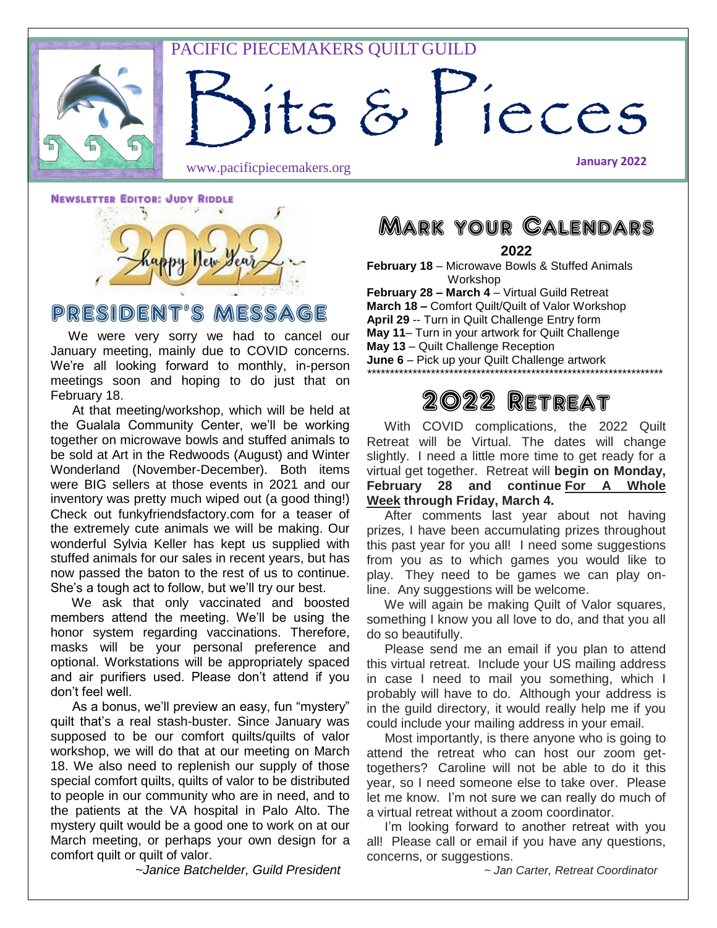### PACIFIC PIECEMAKERS QUILT GUILD

ts & Pieces

www.pacificpiecemakers.org

Newsletter Editor: Judy Riddle



## PRESIDENT'S MESSAGE

 We were very sorry we had to cancel our January meeting, mainly due to COVID concerns. We're all looking forward to monthly, in-person meetings soon and hoping to do just that on February 18.

 At that meeting/workshop, which will be held at the Gualala Community Center, we'll be working together on microwave bowls and stuffed animals to be sold at Art in the Redwoods (August) and Winter Wonderland (November-December). Both items were BIG sellers at those events in 2021 and our inventory was pretty much wiped out (a good thing!) Check out funkyfriendsfactory.com for a teaser of the extremely cute animals we will be making. Our wonderful Sylvia Keller has kept us supplied with stuffed animals for our sales in recent years, but has now passed the baton to the rest of us to continue. She's a tough act to follow, but we'll try our best.

 We ask that only vaccinated and boosted members attend the meeting. We'll be using the honor system regarding vaccinations. Therefore, masks will be your personal preference and optional. Workstations will be appropriately spaced and air purifiers used. Please don't attend if you don't feel well.

 As a bonus, we'll preview an easy, fun "mystery" quilt that's a real stash-buster. Since January was supposed to be our comfort quilts/quilts of valor workshop, we will do that at our meeting on March 18. We also need to replenish our supply of those special comfort quilts, quilts of valor to be distributed to people in our community who are in need, and to the patients at the VA hospital in Palo Alto. The mystery quilt would be a good one to work on at our March meeting, or perhaps your own design for a comfort quilt or quilt of valor.

*~Janice Batchelder, Guild President*

Mark your Calendars

**2022**

**February 18** – Microwave Bowls & Stuffed Animals Workshop

**February 28 – March 4** – Virtual Guild Retreat **March 18 –** Comfort Quilt/Quilt of Valor Workshop **April 29** -- Turn in Quilt Challenge Entry form **May 11**– Turn in your artwork for Quilt Challenge **May 13** – Quilt Challenge Reception

**June 6** – Pick up your Quilt Challenge artwork

### *\*\*\*\*\*\*\*\*\*\*\*\*\*\*\*\*\*\*\*\*\*\*\*\*\*\*\*\*\*\*\*\*\*\*\*\*\*\*\*\*\*\*\*\*\*\*\*\*\*\*\*\*\*\*\*\*\*\*\*\*\*\*\*\*\**

## 2022 Retreat

 With COVID complications, the 2022 Quilt Retreat will be Virtual. The dates will change slightly. I need a little more time to get ready for a virtual get together. Retreat will **begin on Monday, February 28 and continue For A Whole Week through Friday, March 4.**

 After comments last year about not having prizes, I have been accumulating prizes throughout this past year for you all! I need some suggestions from you as to which games you would like to play. They need to be games we can play online. Any suggestions will be welcome.

 We will again be making Quilt of Valor squares, something I know you all love to do, and that you all do so beautifully.

 Please send me an email if you plan to attend this virtual retreat. Include your US mailing address in case I need to mail you something, which I probably will have to do. Although your address is in the guild directory, it would really help me if you could include your mailing address in your email.

 Most importantly, is there anyone who is going to attend the retreat who can host our zoom gettogethers? Caroline will not be able to do it this year, so I need someone else to take over. Please let me know. I'm not sure we can really do much of a virtual retreat without a zoom coordinator.

 I'm looking forward to another retreat with you all! Please call or email if you have any questions, concerns, or suggestions.

*~ Jan Carter, Retreat Coordinator*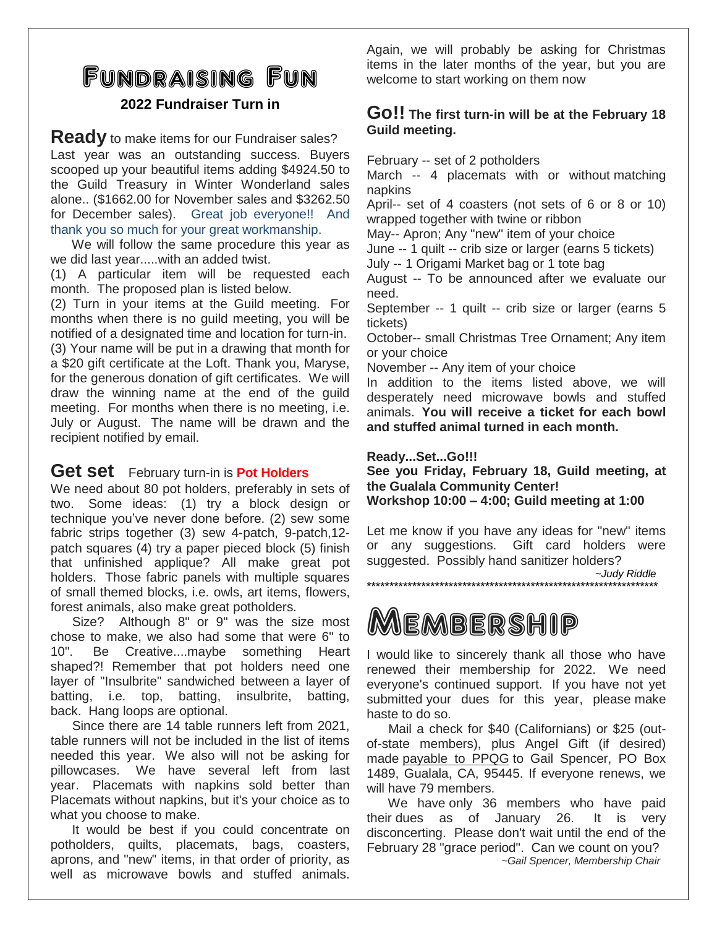# Fundraising Fun

### **2022 Fundraiser Turn in**

**Ready** to make items for our Fundraiser sales? Last year was an outstanding success. Buyers scooped up your beautiful items adding \$4924.50 to the Guild Treasury in Winter Wonderland sales alone.. (\$1662.00 for November sales and \$3262.50 for December sales). Great job everyone!! And thank you so much for your great workmanship.

 We will follow the same procedure this year as we did last year.....with an added twist.

(1) A particular item will be requested each month. The proposed plan is listed below.

(2) Turn in your items at the Guild meeting. For months when there is no guild meeting, you will be notified of a designated time and location for turn-in. (3) Your name will be put in a drawing that month for a \$20 gift certificate at the Loft. Thank you, Maryse, for the generous donation of gift certificates. We will draw the winning name at the end of the guild meeting. For months when there is no meeting, i.e. July or August. The name will be drawn and the recipient notified by email.

### **Get set** February turn-in is **Pot Holders**

We need about 80 pot holders, preferably in sets of two. Some ideas: (1) try a block design or technique you've never done before. (2) sew some fabric strips together (3) sew 4-patch, 9-patch,12 patch squares (4) try a paper pieced block (5) finish that unfinished applique? All make great pot holders. Those fabric panels with multiple squares of small themed blocks, i.e. owls, art items, flowers, forest animals, also make great potholders.

 Size? Although 8" or 9" was the size most chose to make, we also had some that were 6" to 10". Be Creative....maybe something Heart shaped?! Remember that pot holders need one layer of "Insulbrite" sandwiched between a layer of batting, i.e. top, batting, insulbrite, batting, back. Hang loops are optional.

 Since there are 14 table runners left from 2021, table runners will not be included in the list of items needed this year. We also will not be asking for pillowcases. We have several left from last year. Placemats with napkins sold better than Placemats without napkins, but it's your choice as to what you choose to make.

 It would be best if you could concentrate on potholders, quilts, placemats, bags, coasters, aprons, and "new" items, in that order of priority, as well as microwave bowls and stuffed animals. Again, we will probably be asking for Christmas items in the later months of the year, but you are welcome to start working on them now

### **Go!! The first turn-in will be at the February 18 Guild meeting.**

February -- set of 2 potholders

March -- 4 placemats with or without matching napkins

April-- set of 4 coasters (not sets of 6 or 8 or 10) wrapped together with twine or ribbon

May-- Apron; Any "new" item of your choice

June -- 1 quilt -- crib size or larger (earns 5 tickets) July -- 1 Origami Market bag or 1 tote bag

August -- To be announced after we evaluate our need.

September -- 1 quilt -- crib size or larger (earns 5 tickets)

October-- small Christmas Tree Ornament; Any item or your choice

November -- Any item of your choice

In addition to the items listed above, we will desperately need microwave bowls and stuffed animals. **You will receive a ticket for each bowl and stuffed animal turned in each month.**

#### **Ready...Set...Go!!!**

**See you Friday, February 18, Guild meeting, at the Gualala Community Center! Workshop 10:00 – 4:00; Guild meeting at 1:00**

Let me know if you have any ideas for "new" items or any suggestions. Gift card holders were suggested. Possibly hand sanitizer holders?

 *~Judy Riddle* \*\*\*\*\*\*\*\*\*\*\*\*\*\*\*\*\*\*\*\*\*\*\*\*\*\*\*\*\*\*\*\*\*\*\*\*\*\*\*\*\*\*\*\*\*\*\*\*\*\*\*\*\*\*\*\*\*\*\*\*\*\*\*\*

# Membership

I would like to sincerely thank all those who have renewed their membership for 2022. We need everyone's continued support. If you have not yet submitted your dues for this year, please make haste to do so.

 Mail a check for \$40 (Californians) or \$25 (outof-state members), plus Angel Gift (if desired) made payable to PPQG to Gail Spencer, PO Box 1489, Gualala, CA, 95445. If everyone renews, we will have 79 members.

 We have only 36 members who have paid their dues as of January 26. It is very disconcerting. Please don't wait until the end of the February 28 "grace period". Can we count on you?  *~Gail Spencer, Membership Chair*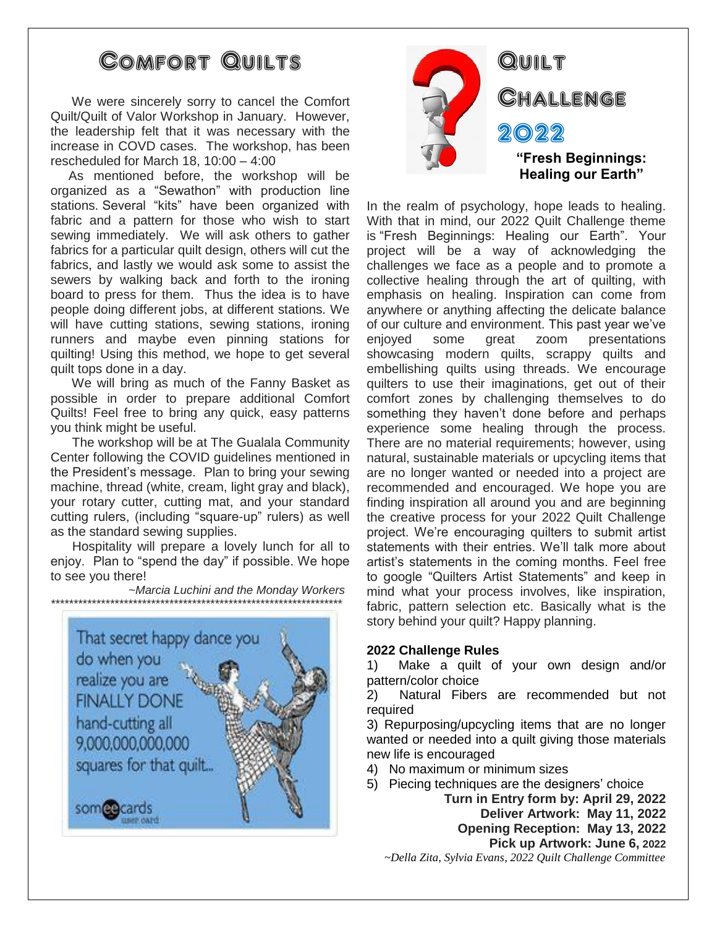# Comfort Quilts

 We were sincerely sorry to cancel the Comfort Quilt/Quilt of Valor Workshop in January. However, the leadership felt that it was necessary with the increase in COVD cases. The workshop, has been rescheduled for March 18, 10:00 – 4:00

 As mentioned before, the workshop will be organized as a "Sewathon" with production line stations. Several "kits" have been organized with fabric and a pattern for those who wish to start sewing immediately. We will ask others to gather fabrics for a particular quilt design, others will cut the fabrics, and lastly we would ask some to assist the sewers by walking back and forth to the ironing board to press for them. Thus the idea is to have people doing different jobs, at different stations. We will have cutting stations, sewing stations, ironing runners and maybe even pinning stations for quilting! Using this method, we hope to get several quilt tops done in a day.

 We will bring as much of the Fanny Basket as possible in order to prepare additional Comfort Quilts! Feel free to bring any quick, easy patterns you think might be useful.

 The workshop will be at The Gualala Community Center following the COVID guidelines mentioned in the President's message. Plan to bring your sewing machine, thread (white, cream, light gray and black), your rotary cutter, cutting mat, and your standard cutting rulers, (including "square-up" rulers) as well as the standard sewing supplies.

 Hospitality will prepare a lovely lunch for all to enjoy. Plan to "spend the day" if possible. We hope to see you there!

 *~Marcia Luchini and the Monday Workers \*\*\*\*\*\*\*\*\*\*\*\*\*\*\*\*\*\*\*\*\*\*\*\*\*\*\*\*\*\*\*\*\*\*\*\*\*\*\*\*\*\*\*\*\*\*\*\*\*\*\*\*\*\*\*\*\*\*\*\*\*\*\*\**





# **QUILT** Challenge 2022 **"Fresh Beginnings: Healing our Earth"**

In the realm of psychology, hope leads to healing. With that in mind, our 2022 Quilt Challenge theme is "Fresh Beginnings: Healing our Earth". Your project will be a way of acknowledging the challenges we face as a people and to promote a collective healing through the art of quilting, with emphasis on healing. Inspiration can come from anywhere or anything affecting the delicate balance of our culture and environment. This past year we've enjoyed some great zoom presentations showcasing modern quilts, scrappy quilts and embellishing quilts using threads. We encourage quilters to use their imaginations, get out of their comfort zones by challenging themselves to do something they haven't done before and perhaps experience some healing through the process. There are no material requirements; however, using natural, sustainable materials or upcycling items that are no longer wanted or needed into a project are recommended and encouraged. We hope you are finding inspiration all around you and are beginning the creative process for your 2022 Quilt Challenge project. We're encouraging quilters to submit artist statements with their entries. We'll talk more about artist's statements in the coming months. Feel free to google "Quilters Artist Statements" and keep in mind what your process involves, like inspiration, fabric, pattern selection etc. Basically what is the story behind your quilt? Happy planning.

### **2022 Challenge Rules**

1) Make a quilt of your own design and/or pattern/color choice

2) Natural Fibers are recommended but not required

3) Repurposing/upcycling items that are no longer wanted or needed into a quilt giving those materials new life is encouraged

- 4) No maximum or minimum sizes
- 5) Piecing techniques are the designers' choice

**Turn in Entry form by: April 29, 2022 Deliver Artwork: May 11, 2022 Opening Reception: May 13, 2022 Pick up Artwork: June 6, 2022**

 *~Della Zita, Sylvia Evans, 2022 Quilt Challenge Committee*